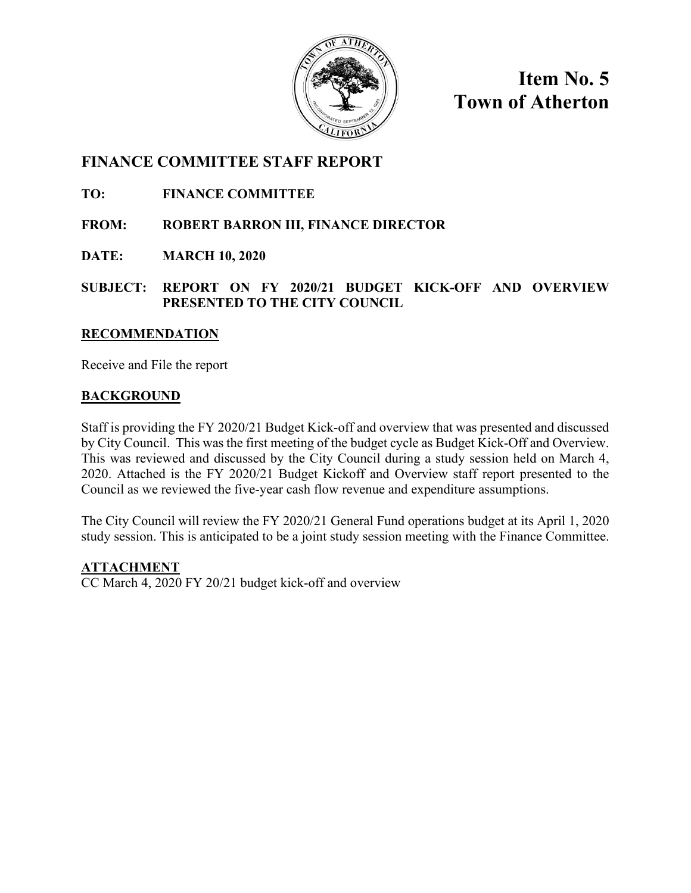

**Item No. 5 Town of Atherton**

# **FINANCE COMMITTEE STAFF REPORT**

**TO: FINANCE COMMITTEE**

**FROM: ROBERT BARRON III, FINANCE DIRECTOR**

**DATE: MARCH 10, 2020**

**SUBJECT: REPORT ON FY 2020/21 BUDGET KICK-OFF AND OVERVIEW PRESENTED TO THE CITY COUNCIL**

### **RECOMMENDATION**

Receive and File the report

# **BACKGROUND**

Staff is providing the FY 2020/21 Budget Kick-off and overview that was presented and discussed by City Council. This was the first meeting of the budget cycle as Budget Kick-Off and Overview. This was reviewed and discussed by the City Council during a study session held on March 4, 2020. Attached is the FY 2020/21 Budget Kickoff and Overview staff report presented to the Council as we reviewed the five-year cash flow revenue and expenditure assumptions.

The City Council will review the FY 2020/21 General Fund operations budget at its April 1, 2020 study session. This is anticipated to be a joint study session meeting with the Finance Committee.

**ATTACHMENT**

CC March 4, 2020 FY 20/21 budget kick-off and overview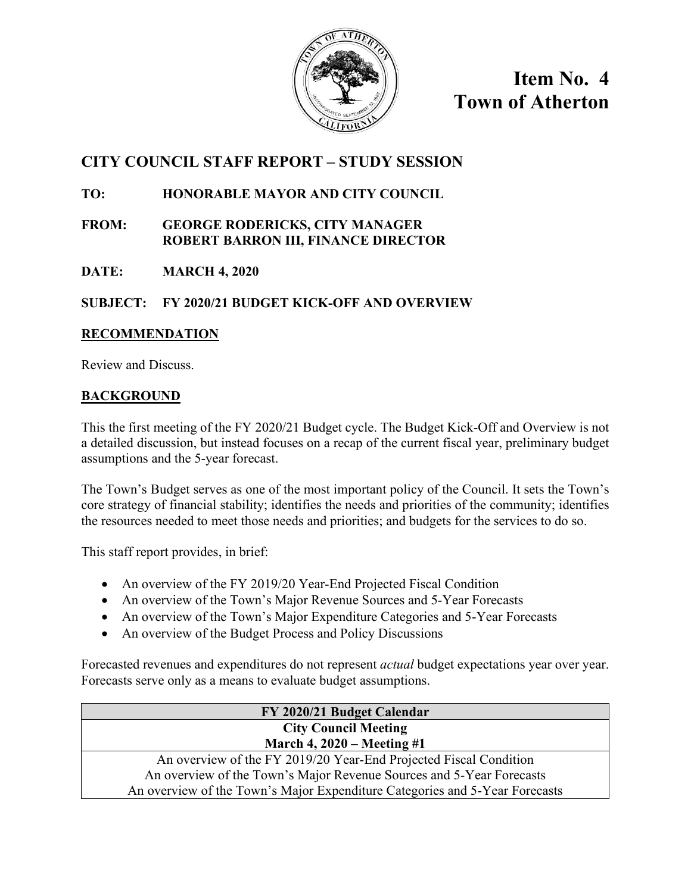

**Item No. 4 Town of Atherton**

# **CITY COUNCIL STAFF REPORT – STUDY SESSION**

# **TO: HONORABLE MAYOR AND CITY COUNCIL**

- **FROM: GEORGE RODERICKS, CITY MANAGER ROBERT BARRON III, FINANCE DIRECTOR**
- **DATE: MARCH 4, 2020**

# **SUBJECT: FY 2020/21 BUDGET KICK-OFF AND OVERVIEW**

# **RECOMMENDATION**

Review and Discuss.

# **BACKGROUND**

This the first meeting of the FY 2020/21 Budget cycle. The Budget Kick-Off and Overview is not a detailed discussion, but instead focuses on a recap of the current fiscal year, preliminary budget assumptions and the 5-year forecast.

The Town's Budget serves as one of the most important policy of the Council. It sets the Town's core strategy of financial stability; identifies the needs and priorities of the community; identifies the resources needed to meet those needs and priorities; and budgets for the services to do so.

This staff report provides, in brief:

- An overview of the FY 2019/20 Year-End Projected Fiscal Condition
- An overview of the Town's Major Revenue Sources and 5-Year Forecasts
- An overview of the Town's Major Expenditure Categories and 5-Year Forecasts
- An overview of the Budget Process and Policy Discussions

Forecasted revenues and expenditures do not represent *actual* budget expectations year over year. Forecasts serve only as a means to evaluate budget assumptions.

| FY 2020/21 Budget Calendar                                                  |
|-----------------------------------------------------------------------------|
| <b>City Council Meeting</b>                                                 |
| March 4, $2020 - Meeting \#1$                                               |
| An overview of the FY 2019/20 Year-End Projected Fiscal Condition           |
| An overview of the Town's Major Revenue Sources and 5-Year Forecasts        |
| An overview of the Town's Major Expenditure Categories and 5-Year Forecasts |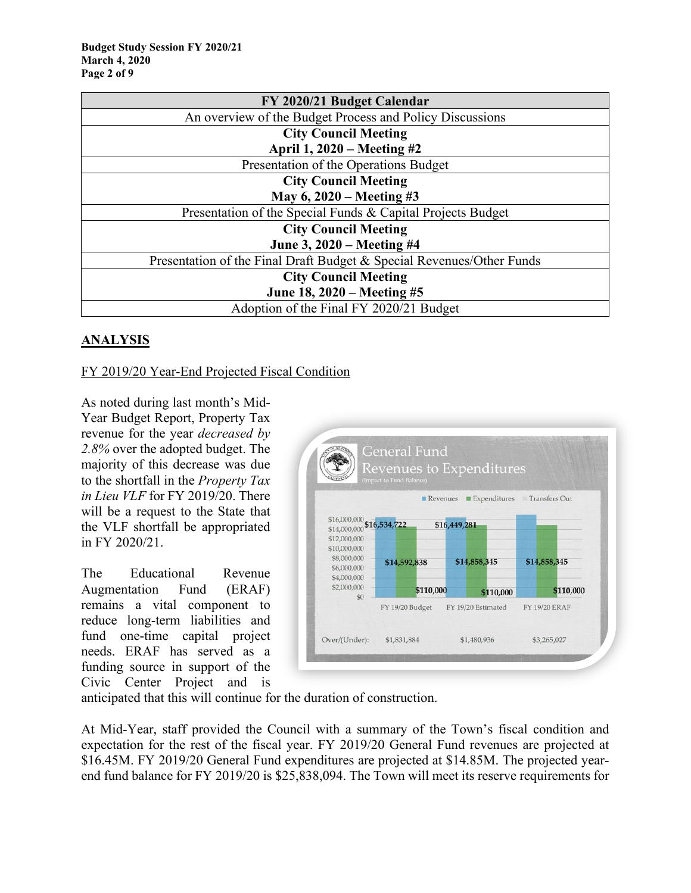| FY 2020/21 Budget Calendar                                            |  |  |  |  |  |  |
|-----------------------------------------------------------------------|--|--|--|--|--|--|
| An overview of the Budget Process and Policy Discussions              |  |  |  |  |  |  |
| <b>City Council Meeting</b>                                           |  |  |  |  |  |  |
| April 1, 2020 – Meeting #2                                            |  |  |  |  |  |  |
| Presentation of the Operations Budget                                 |  |  |  |  |  |  |
| <b>City Council Meeting</b>                                           |  |  |  |  |  |  |
| May 6, $2020 -$ Meeting #3                                            |  |  |  |  |  |  |
| Presentation of the Special Funds & Capital Projects Budget           |  |  |  |  |  |  |
| <b>City Council Meeting</b>                                           |  |  |  |  |  |  |
| June 3, 2020 – Meeting #4                                             |  |  |  |  |  |  |
| Presentation of the Final Draft Budget & Special Revenues/Other Funds |  |  |  |  |  |  |
| <b>City Council Meeting</b>                                           |  |  |  |  |  |  |
| June 18, 2020 – Meeting #5                                            |  |  |  |  |  |  |
| Adoption of the Final FY 2020/21 Budget                               |  |  |  |  |  |  |

# **ANALYSIS**

#### FY 2019/20 Year-End Projected Fiscal Condition

As noted during last month's Mid-Year Budget Report, Property Tax revenue for the year *decreased by 2.8%* over the adopted budget. The majority of this decrease was due to the shortfall in the *Property Tax in Lieu VLF* for FY 2019/20. There will be a request to the State that the VLF shortfall be appropriated in FY 2020/21.

The Educational Revenue Augmentation Fund (ERAF) remains a vital component to reduce long-term liabilities and fund one-time capital project needs. ERAF has served as a funding source in support of the Civic Center Project and is



anticipated that this will continue for the duration of construction.

At Mid-Year, staff provided the Council with a summary of the Town's fiscal condition and expectation for the rest of the fiscal year. FY 2019/20 General Fund revenues are projected at \$16.45M. FY 2019/20 General Fund expenditures are projected at \$14.85M. The projected yearend fund balance for FY 2019/20 is \$25,838,094. The Town will meet its reserve requirements for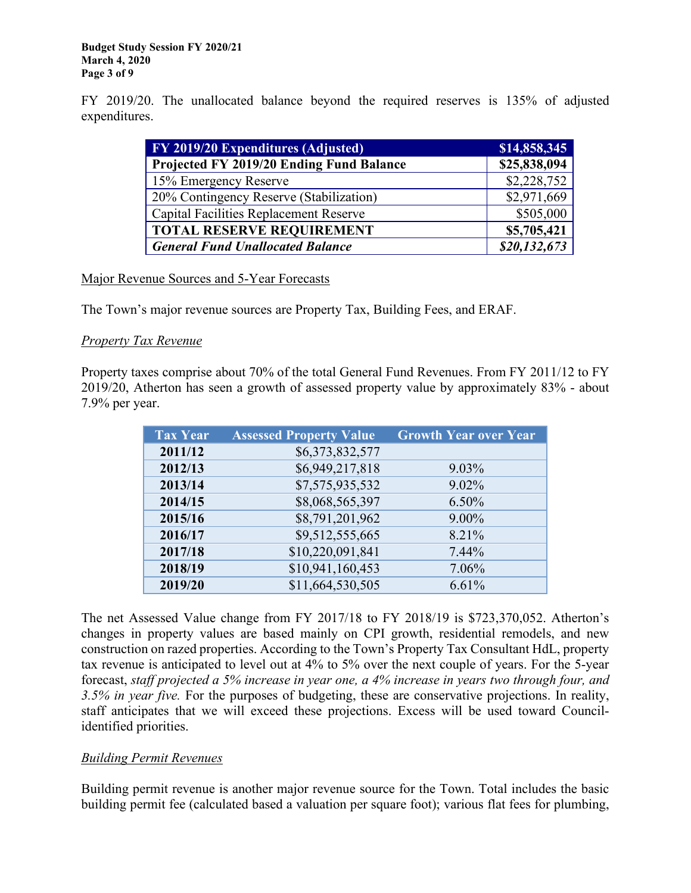FY 2019/20. The unallocated balance beyond the required reserves is 135% of adjusted expenditures.

| FY 2019/20 Expenditures (Adjusted)            | \$14,858,345 |
|-----------------------------------------------|--------------|
| Projected FY 2019/20 Ending Fund Balance      | \$25,838,094 |
| 15% Emergency Reserve                         | \$2,228,752  |
| 20% Contingency Reserve (Stabilization)       | \$2,971,669  |
| <b>Capital Facilities Replacement Reserve</b> | \$505,000    |
| <b>TOTAL RESERVE REQUIREMENT</b>              | \$5,705,421  |
| <b>General Fund Unallocated Balance</b>       | \$20,132,673 |

Major Revenue Sources and 5-Year Forecasts

The Town's major revenue sources are Property Tax, Building Fees, and ERAF.

### *Property Tax Revenue*

Property taxes comprise about 70% of the total General Fund Revenues. From FY 2011/12 to FY 2019/20, Atherton has seen a growth of assessed property value by approximately 83% - about 7.9% per year.

| <b>Tax Year</b> | <b>Assessed Property Value</b> | <b>Growth Year over Year</b> |
|-----------------|--------------------------------|------------------------------|
| 2011/12         | \$6,373,832,577                |                              |
| 2012/13         | \$6,949,217,818                | $9.03\%$                     |
| 2013/14         | \$7,575,935,532                | 9.02%                        |
| 2014/15         | \$8,068,565,397                | $6.50\%$                     |
| 2015/16         | \$8,791,201,962                | $9.00\%$                     |
| 2016/17         | \$9,512,555,665                | 8.21%                        |
| 2017/18         | \$10,220,091,841               | $7.44\%$                     |
| 2018/19         | \$10,941,160,453               | 7.06%                        |
| 2019/20         | \$11,664,530,505               | 6.61%                        |

The net Assessed Value change from FY 2017/18 to FY 2018/19 is \$723,370,052. Atherton's changes in property values are based mainly on CPI growth, residential remodels, and new construction on razed properties. According to the Town's Property Tax Consultant HdL, property tax revenue is anticipated to level out at 4% to 5% over the next couple of years. For the 5-year forecast, *staff projected a 5% increase in year one, a 4% increase in years two through four, and 3.5% in year five.* For the purposes of budgeting, these are conservative projections. In reality, staff anticipates that we will exceed these projections. Excess will be used toward Councilidentified priorities.

# *Building Permit Revenues*

Building permit revenue is another major revenue source for the Town. Total includes the basic building permit fee (calculated based a valuation per square foot); various flat fees for plumbing,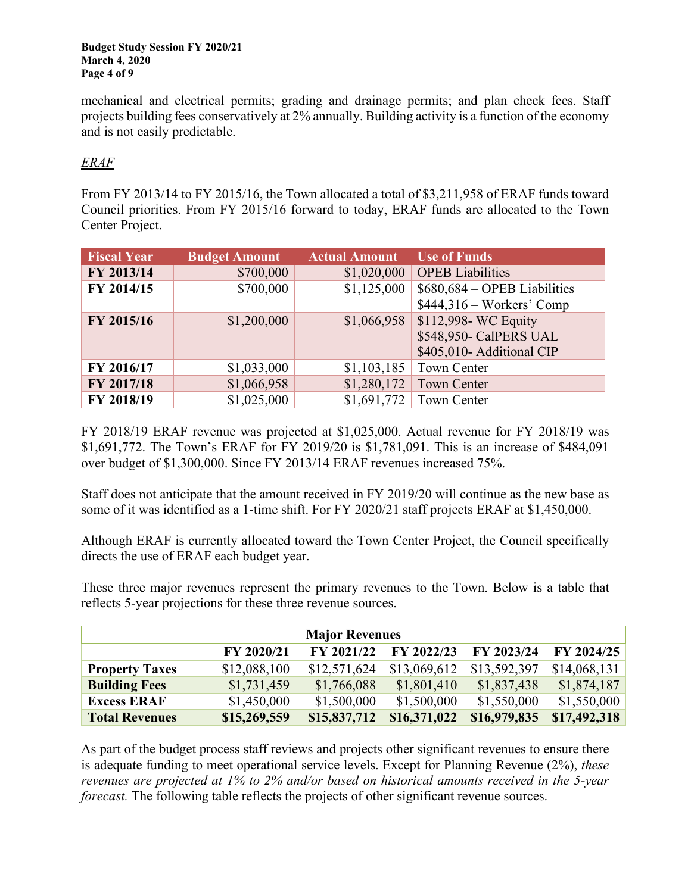mechanical and electrical permits; grading and drainage permits; and plan check fees. Staff projects building fees conservatively at 2% annually. Building activity is a function of the economy and is not easily predictable.

# *ERAF*

From FY 2013/14 to FY 2015/16, the Town allocated a total of \$3,211,958 of ERAF funds toward Council priorities. From FY 2015/16 forward to today, ERAF funds are allocated to the Town Center Project.

| <b>Fiscal Year</b> | <b>Budget Amount</b> | <b>Actual Amount</b> | <b>Use of Funds</b>           |
|--------------------|----------------------|----------------------|-------------------------------|
| FY 2013/14         | \$700,000            | \$1,020,000          | <b>OPEB</b> Liabilities       |
| FY 2014/15         | \$700,000            | \$1,125,000          | $$680,684 - OPER$ Liabilities |
|                    |                      |                      | $$444,316 - Works'$ Comp      |
| FY 2015/16         | \$1,200,000          | \$1,066,958          | \$112,998- WC Equity          |
|                    |                      |                      | \$548,950- CalPERS UAL        |
|                    |                      |                      | \$405,010- Additional CIP     |
| FY 2016/17         | \$1,033,000          | \$1,103,185          | Town Center                   |
| FY 2017/18         | \$1,066,958          | \$1,280,172          | <b>Town Center</b>            |
| FY 2018/19         | \$1,025,000          | \$1,691,772          | <b>Town Center</b>            |

FY 2018/19 ERAF revenue was projected at \$1,025,000. Actual revenue for FY 2018/19 was \$1,691,772. The Town's ERAF for FY 2019/20 is \$1,781,091. This is an increase of \$484,091 over budget of \$1,300,000. Since FY 2013/14 ERAF revenues increased 75%.

Staff does not anticipate that the amount received in FY 2019/20 will continue as the new base as some of it was identified as a 1-time shift. For FY 2020/21 staff projects ERAF at \$1,450,000.

Although ERAF is currently allocated toward the Town Center Project, the Council specifically directs the use of ERAF each budget year.

These three major revenues represent the primary revenues to the Town. Below is a table that reflects 5-year projections for these three revenue sources.

| <b>Major Revenues</b>                                              |              |              |              |              |              |  |  |  |  |  |
|--------------------------------------------------------------------|--------------|--------------|--------------|--------------|--------------|--|--|--|--|--|
| FY 2024/25<br>FY 2022/23<br>FY 2020/21<br>FY 2021/22<br>FY 2023/24 |              |              |              |              |              |  |  |  |  |  |
| <b>Property Taxes</b>                                              | \$12,088,100 | \$12,571,624 | \$13,069,612 | \$13,592,397 | \$14,068,131 |  |  |  |  |  |
| <b>Building Fees</b>                                               | \$1,731,459  | \$1,766,088  | \$1,801,410  | \$1,837,438  | \$1,874,187  |  |  |  |  |  |
| <b>Excess ERAF</b>                                                 | \$1,450,000  | \$1,500,000  | \$1,500,000  | \$1,550,000  | \$1,550,000  |  |  |  |  |  |
| <b>Total Revenues</b>                                              | \$15,269,559 | \$15,837,712 | \$16,371,022 | \$16,979,835 | \$17,492,318 |  |  |  |  |  |

As part of the budget process staff reviews and projects other significant revenues to ensure there is adequate funding to meet operational service levels. Except for Planning Revenue (2%), *these revenues are projected at 1% to 2% and/or based on historical amounts received in the 5-year forecast*. The following table reflects the projects of other significant revenue sources.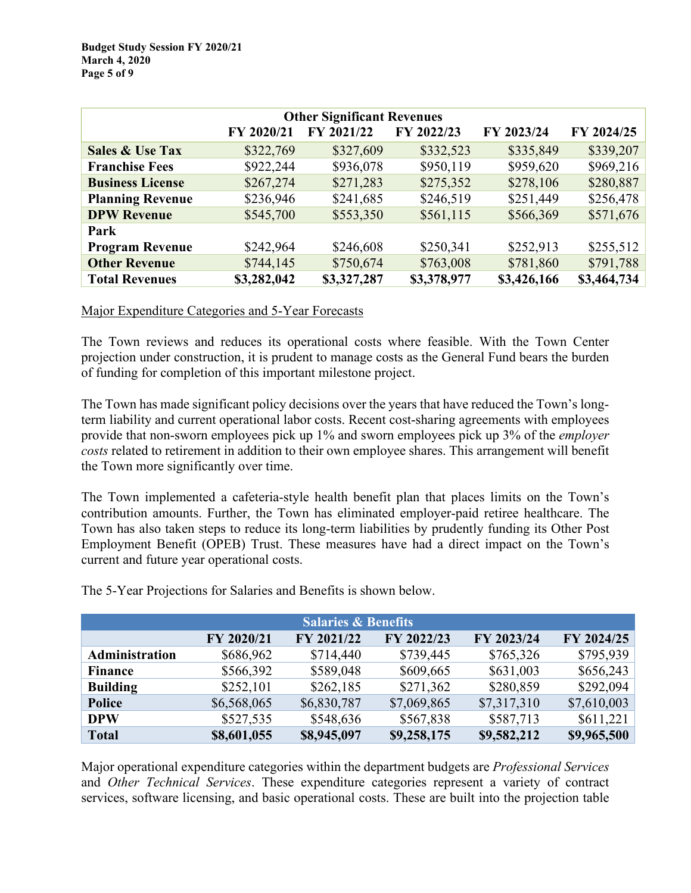|                                                                    | <b>Other Significant Revenues</b> |             |             |             |             |  |  |  |  |  |
|--------------------------------------------------------------------|-----------------------------------|-------------|-------------|-------------|-------------|--|--|--|--|--|
| FY 2024/25<br>FY 2023/24<br>FY 2020/21<br>FY 2021/22<br>FY 2022/23 |                                   |             |             |             |             |  |  |  |  |  |
| <b>Sales &amp; Use Tax</b>                                         | \$322,769                         | \$327,609   | \$332,523   | \$335,849   | \$339,207   |  |  |  |  |  |
| <b>Franchise Fees</b>                                              | \$922,244                         | \$936,078   | \$950,119   | \$959,620   | \$969,216   |  |  |  |  |  |
| <b>Business License</b>                                            | \$267,274                         | \$271,283   | \$275,352   | \$278,106   | \$280,887   |  |  |  |  |  |
| <b>Planning Revenue</b>                                            | \$236,946                         | \$241,685   | \$246,519   | \$251,449   | \$256,478   |  |  |  |  |  |
| <b>DPW Revenue</b>                                                 | \$545,700                         | \$553,350   | \$561,115   | \$566,369   | \$571,676   |  |  |  |  |  |
| Park                                                               |                                   |             |             |             |             |  |  |  |  |  |
| <b>Program Revenue</b>                                             | \$242,964                         | \$246,608   | \$250,341   | \$252,913   | \$255,512   |  |  |  |  |  |
| <b>Other Revenue</b>                                               | \$744,145                         | \$750,674   | \$763,008   | \$781,860   | \$791,788   |  |  |  |  |  |
| <b>Total Revenues</b>                                              | \$3,282,042                       | \$3,327,287 | \$3,378,977 | \$3,426,166 | \$3,464,734 |  |  |  |  |  |

#### Major Expenditure Categories and 5-Year Forecasts

The Town reviews and reduces its operational costs where feasible. With the Town Center projection under construction, it is prudent to manage costs as the General Fund bears the burden of funding for completion of this important milestone project.

The Town has made significant policy decisions over the years that have reduced the Town's longterm liability and current operational labor costs. Recent cost-sharing agreements with employees provide that non-sworn employees pick up 1% and sworn employees pick up 3% of the *employer costs* related to retirement in addition to their own employee shares. This arrangement will benefit the Town more significantly over time.

The Town implemented a cafeteria-style health benefit plan that places limits on the Town's contribution amounts. Further, the Town has eliminated employer-paid retiree healthcare. The Town has also taken steps to reduce its long-term liabilities by prudently funding its Other Post Employment Benefit (OPEB) Trust. These measures have had a direct impact on the Town's current and future year operational costs.

| <b>Salaries &amp; Benefits</b>                                     |             |             |             |             |             |  |  |  |  |
|--------------------------------------------------------------------|-------------|-------------|-------------|-------------|-------------|--|--|--|--|
| FY 2021/22<br>FY 2023/24<br>FY 2024/25<br>FY 2020/21<br>FY 2022/23 |             |             |             |             |             |  |  |  |  |
| Administration                                                     | \$686,962   | \$714,440   | \$739,445   | \$765,326   | \$795,939   |  |  |  |  |
| <b>Finance</b>                                                     | \$566,392   | \$589,048   | \$609,665   | \$631,003   | \$656,243   |  |  |  |  |
| <b>Building</b>                                                    | \$252,101   | \$262,185   | \$271,362   | \$280,859   | \$292,094   |  |  |  |  |
| <b>Police</b>                                                      | \$6,568,065 | \$6,830,787 | \$7,069,865 | \$7,317,310 | \$7,610,003 |  |  |  |  |
| <b>DPW</b>                                                         | \$527,535   | \$548,636   | \$567,838   | \$587,713   | \$611,221   |  |  |  |  |
| <b>Total</b>                                                       | \$8,601,055 | \$8,945,097 | \$9,258,175 | \$9,582,212 | \$9,965,500 |  |  |  |  |

The 5-Year Projections for Salaries and Benefits is shown below.

Major operational expenditure categories within the department budgets are *Professional Services* and *Other Technical Services*. These expenditure categories represent a variety of contract services, software licensing, and basic operational costs. These are built into the projection table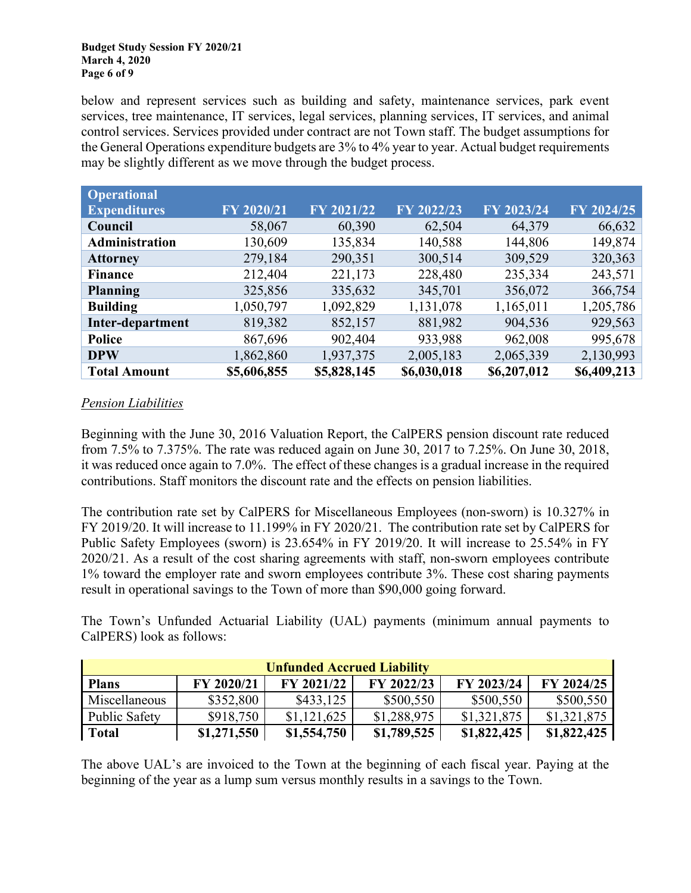#### **Budget Study Session FY 2020/21 March 4, 2020 Page 6 of 9**

below and represent services such as building and safety, maintenance services, park event services, tree maintenance, IT services, legal services, planning services, IT services, and animal control services. Services provided under contract are not Town staff. The budget assumptions for the General Operations expenditure budgets are 3% to 4% year to year. Actual budget requirements may be slightly different as we move through the budget process.

| <b>Operational</b>  |             |             |             |             |             |
|---------------------|-------------|-------------|-------------|-------------|-------------|
| <b>Expenditures</b> | FY 2020/21  | FY 2021/22  | FY 2022/23  | FY 2023/24  | FY 2024/25  |
| Council             | 58,067      | 60,390      | 62,504      | 64,379      | 66,632      |
| Administration      | 130,609     | 135,834     | 140,588     | 144,806     | 149,874     |
| <b>Attorney</b>     | 279,184     | 290,351     | 300,514     | 309,529     | 320,363     |
| <b>Finance</b>      | 212,404     | 221,173     | 228,480     | 235,334     | 243,571     |
| <b>Planning</b>     | 325,856     | 335,632     | 345,701     | 356,072     | 366,754     |
| <b>Building</b>     | 1,050,797   | 1,092,829   | 1,131,078   | 1,165,011   | 1,205,786   |
| Inter-department    | 819,382     | 852,157     | 881,982     | 904,536     | 929,563     |
| <b>Police</b>       | 867,696     | 902,404     | 933,988     | 962,008     | 995,678     |
| <b>DPW</b>          | 1,862,860   | 1,937,375   | 2,005,183   | 2,065,339   | 2,130,993   |
| <b>Total Amount</b> | \$5,606,855 | \$5,828,145 | \$6,030,018 | \$6,207,012 | \$6,409,213 |

# *Pension Liabilities*

Beginning with the June 30, 2016 Valuation Report, the CalPERS pension discount rate reduced from 7.5% to 7.375%. The rate was reduced again on June 30, 2017 to 7.25%. On June 30, 2018, it was reduced once again to 7.0%. The effect of these changes is a gradual increase in the required contributions. Staff monitors the discount rate and the effects on pension liabilities.

The contribution rate set by CalPERS for Miscellaneous Employees (non-sworn) is 10.327% in FY 2019/20. It will increase to 11.199% in FY 2020/21. The contribution rate set by CalPERS for Public Safety Employees (sworn) is 23.654% in FY 2019/20. It will increase to 25.54% in FY 2020/21. As a result of the cost sharing agreements with staff, non-sworn employees contribute 1% toward the employer rate and sworn employees contribute 3%. These cost sharing payments result in operational savings to the Town of more than \$90,000 going forward.

The Town's Unfunded Actuarial Liability (UAL) payments (minimum annual payments to CalPERS) look as follows:

| <b>Unfunded Accrued Liability</b>                                                  |             |             |             |             |             |  |  |  |  |  |
|------------------------------------------------------------------------------------|-------------|-------------|-------------|-------------|-------------|--|--|--|--|--|
| FY 2020/21<br>FY 2023/24<br>FY 2024/25<br>FY 2021/22<br>FY 2022/23<br><b>Plans</b> |             |             |             |             |             |  |  |  |  |  |
| Miscellaneous                                                                      | \$352,800   | \$433,125   | \$500,550   | \$500,550   | \$500,550   |  |  |  |  |  |
| Public Safety                                                                      | \$918,750   | \$1,121,625 | \$1,288,975 | \$1,321,875 | \$1,321,875 |  |  |  |  |  |
| Total                                                                              | \$1,271,550 | \$1,554,750 | \$1,789,525 | \$1,822,425 | \$1,822,425 |  |  |  |  |  |

The above UAL's are invoiced to the Town at the beginning of each fiscal year. Paying at the beginning of the year as a lump sum versus monthly results in a savings to the Town.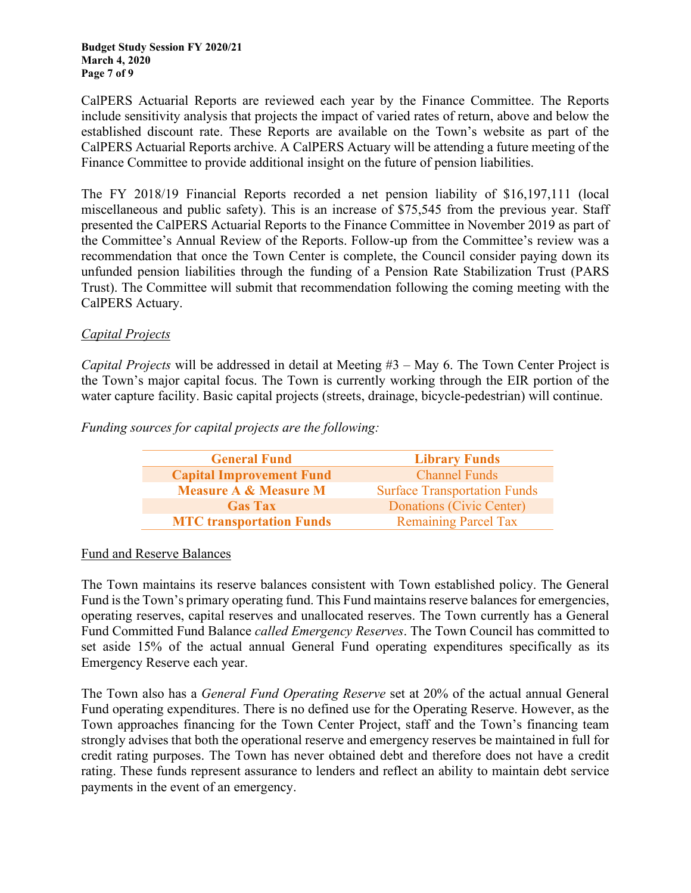CalPERS Actuarial Reports are reviewed each year by the Finance Committee. The Reports include sensitivity analysis that projects the impact of varied rates of return, above and below the established discount rate. These Reports are available on the Town's website as part of the CalPERS Actuarial Reports archive. A CalPERS Actuary will be attending a future meeting of the Finance Committee to provide additional insight on the future of pension liabilities.

The FY 2018/19 Financial Reports recorded a net pension liability of \$16,197,111 (local miscellaneous and public safety). This is an increase of \$75,545 from the previous year. Staff presented the CalPERS Actuarial Reports to the Finance Committee in November 2019 as part of the Committee's Annual Review of the Reports. Follow-up from the Committee's review was a recommendation that once the Town Center is complete, the Council consider paying down its unfunded pension liabilities through the funding of a Pension Rate Stabilization Trust (PARS Trust). The Committee will submit that recommendation following the coming meeting with the CalPERS Actuary.

# *Capital Projects*

*Capital Projects* will be addressed in detail at Meeting #3 – May 6. The Town Center Project is the Town's major capital focus. The Town is currently working through the EIR portion of the water capture facility. Basic capital projects (streets, drainage, bicycle-pedestrian) will continue.

*Funding sources for capital projects are the following:*

| <b>General Fund</b>              | <b>Library Funds</b>                |
|----------------------------------|-------------------------------------|
| <b>Capital Improvement Fund</b>  | <b>Channel Funds</b>                |
| <b>Measure A &amp; Measure M</b> | <b>Surface Transportation Funds</b> |
| <b>Gas Tax</b>                   | Donations (Civic Center)            |
| <b>MTC</b> transportation Funds  | <b>Remaining Parcel Tax</b>         |

# Fund and Reserve Balances

The Town maintains its reserve balances consistent with Town established policy. The General Fund is the Town's primary operating fund. This Fund maintains reserve balances for emergencies, operating reserves, capital reserves and unallocated reserves. The Town currently has a General Fund Committed Fund Balance *called Emergency Reserves*. The Town Council has committed to set aside 15% of the actual annual General Fund operating expenditures specifically as its Emergency Reserve each year.

The Town also has a *General Fund Operating Reserve* set at 20% of the actual annual General Fund operating expenditures. There is no defined use for the Operating Reserve. However, as the Town approaches financing for the Town Center Project, staff and the Town's financing team strongly advises that both the operational reserve and emergency reserves be maintained in full for credit rating purposes. The Town has never obtained debt and therefore does not have a credit rating. These funds represent assurance to lenders and reflect an ability to maintain debt service payments in the event of an emergency.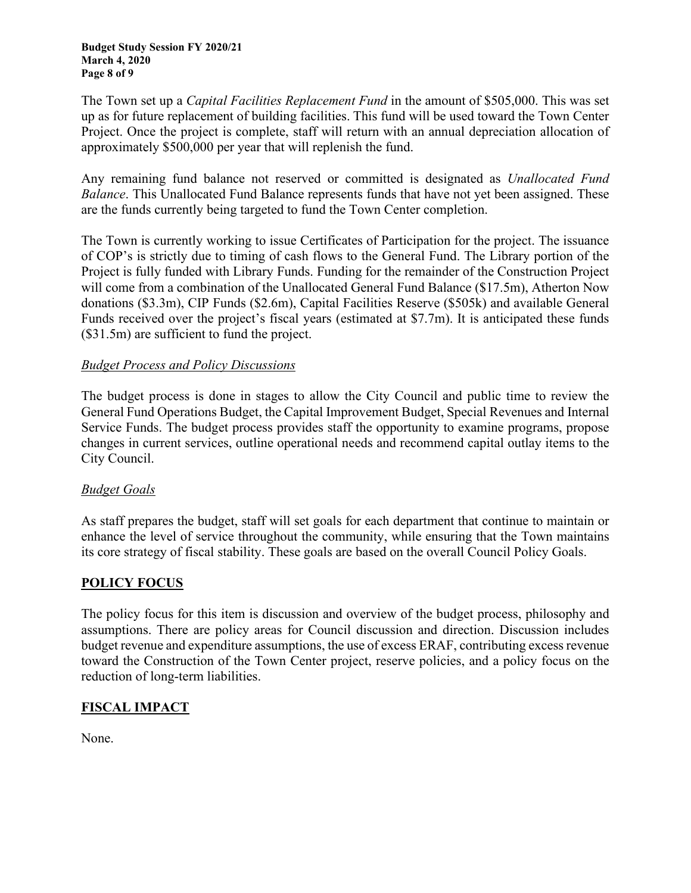The Town set up a *Capital Facilities Replacement Fund* in the amount of \$505,000. This was set up as for future replacement of building facilities. This fund will be used toward the Town Center Project. Once the project is complete, staff will return with an annual depreciation allocation of approximately \$500,000 per year that will replenish the fund.

Any remaining fund balance not reserved or committed is designated as *Unallocated Fund Balance*. This Unallocated Fund Balance represents funds that have not yet been assigned. These are the funds currently being targeted to fund the Town Center completion.

The Town is currently working to issue Certificates of Participation for the project. The issuance of COP's is strictly due to timing of cash flows to the General Fund. The Library portion of the Project is fully funded with Library Funds. Funding for the remainder of the Construction Project will come from a combination of the Unallocated General Fund Balance (\$17.5m), Atherton Now donations (\$3.3m), CIP Funds (\$2.6m), Capital Facilities Reserve (\$505k) and available General Funds received over the project's fiscal years (estimated at \$7.7m). It is anticipated these funds (\$31.5m) are sufficient to fund the project.

# *Budget Process and Policy Discussions*

The budget process is done in stages to allow the City Council and public time to review the General Fund Operations Budget, the Capital Improvement Budget, Special Revenues and Internal Service Funds. The budget process provides staff the opportunity to examine programs, propose changes in current services, outline operational needs and recommend capital outlay items to the City Council.

# *Budget Goals*

As staff prepares the budget, staff will set goals for each department that continue to maintain or enhance the level of service throughout the community, while ensuring that the Town maintains its core strategy of fiscal stability. These goals are based on the overall Council Policy Goals.

# **POLICY FOCUS**

The policy focus for this item is discussion and overview of the budget process, philosophy and assumptions. There are policy areas for Council discussion and direction. Discussion includes budget revenue and expenditure assumptions, the use of excess ERAF, contributing excess revenue toward the Construction of the Town Center project, reserve policies, and a policy focus on the reduction of long-term liabilities.

# **FISCAL IMPACT**

None.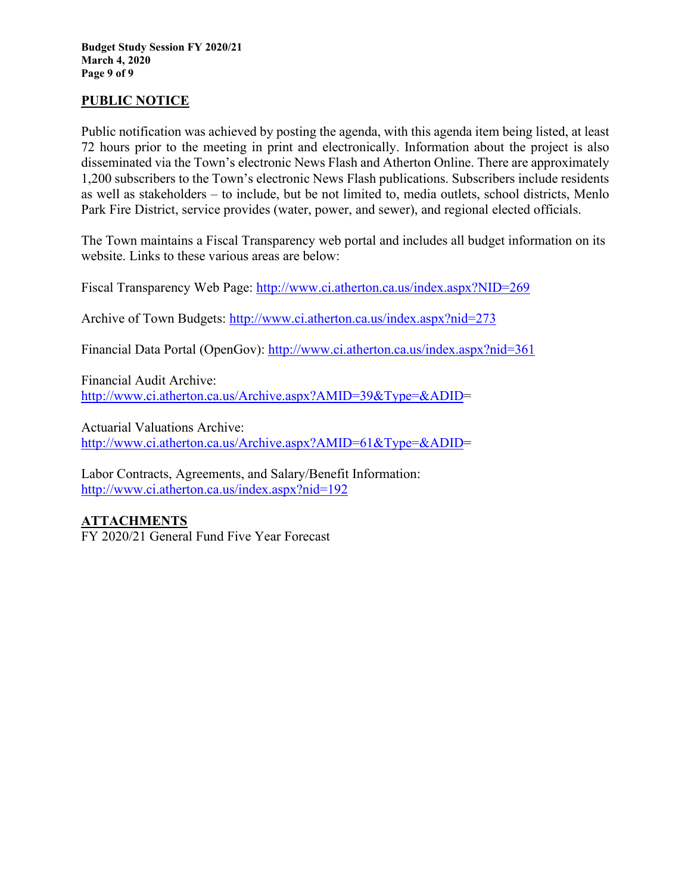# **PUBLIC NOTICE**

Public notification was achieved by posting the agenda, with this agenda item being listed, at least 72 hours prior to the meeting in print and electronically. Information about the project is also disseminated via the Town's electronic News Flash and Atherton Online. There are approximately 1,200 subscribers to the Town's electronic News Flash publications. Subscribers include residents as well as stakeholders – to include, but be not limited to, media outlets, school districts, Menlo Park Fire District, service provides (water, power, and sewer), and regional elected officials.

The Town maintains a Fiscal Transparency web portal and includes all budget information on its website. Links to these various areas are below:

Fiscal Transparency Web Page:<http://www.ci.atherton.ca.us/index.aspx?NID=269>

Archive of Town Budgets:<http://www.ci.atherton.ca.us/index.aspx?nid=273>

Financial Data Portal (OpenGov):<http://www.ci.atherton.ca.us/index.aspx?nid=361>

Financial Audit Archive: [http://www.ci.atherton.ca.us/Archive.aspx?AMID=39&Type=&ADID=](http://www.ci.atherton.ca.us/Archive.aspx?AMID=39&Type=&ADID)

Actuarial Valuations Archive: [http://www.ci.atherton.ca.us/Archive.aspx?AMID=61&Type=&ADID=](http://www.ci.atherton.ca.us/Archive.aspx?AMID=61&Type=&ADID)

Labor Contracts, Agreements, and Salary/Benefit Information: <http://www.ci.atherton.ca.us/index.aspx?nid=192>

# **ATTACHMENTS**

FY 2020/21 General Fund Five Year Forecast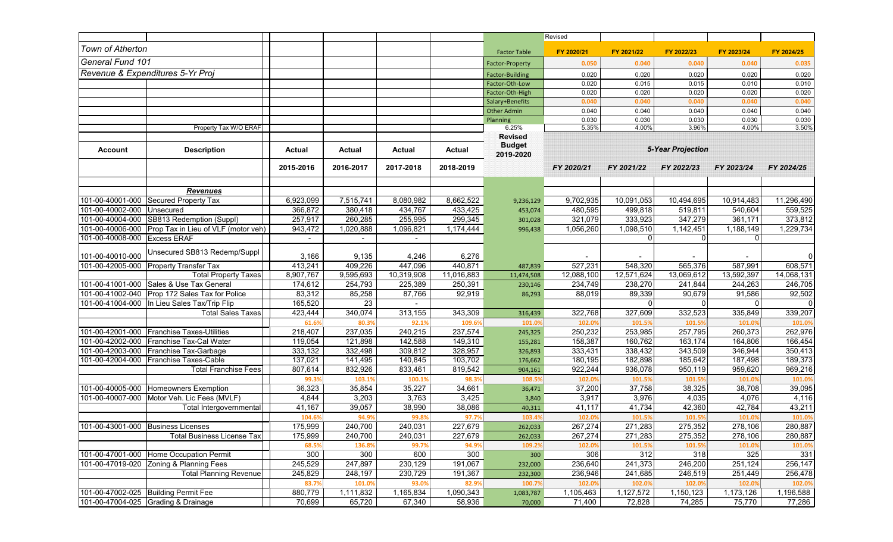|                              |                                                |                          |               |            |               |                                              | Revised    |            |                          |              |            |
|------------------------------|------------------------------------------------|--------------------------|---------------|------------|---------------|----------------------------------------------|------------|------------|--------------------------|--------------|------------|
| Town of Atherton             |                                                |                          |               |            |               | <b>Factor Table</b>                          | FY 2020/21 | FY 2021/22 | FY 2022/23               | FY 2023/24   | FY 2024/25 |
| General Fund 101             |                                                |                          |               |            |               | <b>Factor-Property</b>                       | 0.050      | 0.040      | 0.040                    | 0.040        | 0.035      |
|                              | Revenue & Expenditures 5-Yr Proj               |                          |               |            |               | <b>Factor-Building</b>                       | 0.020      | 0.020      | 0.020                    | 0.020        | 0.020      |
|                              |                                                |                          |               |            |               | Factor-Oth-Low                               | 0.020      | 0.015      | 0.015                    | 0.010        | 0.010      |
|                              |                                                |                          |               |            |               | Factor-Oth-High                              | 0.020      | 0.020      | 0.020                    | 0.020        | 0.020      |
|                              |                                                |                          |               |            |               | Salary+Benefits                              | 0.040      | 0.040      | 0.040                    | 0.040        | 0.040      |
|                              |                                                |                          |               |            |               | <b>Other Admin</b>                           | 0.040      | 0.040      | 0.040                    | 0.040        | 0.040      |
|                              |                                                |                          |               |            |               | Planning                                     | 0.030      | 0.030      | 0.030                    | 0.030        | 0.030      |
|                              | Property Tax W/O ERAF                          |                          |               |            |               | 6.25%                                        | 5.35%      | 4.00%      | 3.96%                    | 4.00%        | 3.50%      |
| Account                      | <b>Description</b>                             | Actual                   | <b>Actual</b> | Actual     | <b>Actual</b> | <b>Revised</b><br><b>Budget</b><br>2019-2020 |            |            | <b>5-Year Projection</b> |              |            |
|                              |                                                | 2015-2016                | 2016-2017     | 2017-2018  | 2018-2019     |                                              | FY 2020/21 | FY 2021/22 | FY 2022/23               | FY 2023/24   | FY 2024/25 |
|                              | <b>Revenues</b>                                |                          |               |            |               |                                              |            |            |                          |              |            |
| 101-00-40001-000             | Secured Property Tax                           | 6,923,099                | 7,515,741     | 8,080,982  | 8,662,522     | 9,236,129                                    | 9,702,935  | 10,091,053 | 10,494,695               | 10,914,483   | 11,296,490 |
| 101-00-40002-000             | Unsecured                                      | 366,872                  | 380,418       | 434,767    | 433,425       | 453,074                                      | 480,595    | 499,818    | 519,811                  | 540,604      | 559,525    |
|                              | 101-00-40004-000 SB813 Redemption (Suppl)      | 257,917                  | 260,285       | 255,995    | 299,345       | 301,028                                      | 321,079    | 333,923    | 347,279                  | 361,171      | 373,812    |
| 101-00-40006-000             | Prop Tax in Lieu of VLF (motor veh)            | 943,472                  | 1,020,888     | 1,096,821  | 1,174,444     | 996,438                                      | 1,056,260  | 1,098,510  | 1,142,451                | 1,188,149    | 1,229,734  |
| 101-00-40008-000 Excess ERAF |                                                | $\overline{\phantom{a}}$ |               |            |               |                                              |            | $\Omega$   | $\mathbf{0}$             | $\mathbf{0}$ |            |
| 101-00-40010-000             | Unsecured SB813 Redemp/Suppl                   | 3,166                    | 9,135         | 4,246      | 6,276         |                                              |            |            |                          |              | 0          |
| 101-00-42005-000             | <b>Property Transfer Tax</b>                   | 413,241                  | 409,226       | 447,096    | 440,871       | 487,839                                      | 527,231    | 548,320    | 565,376                  | 587,991      | 608,571    |
|                              | <b>Total Property Taxes</b>                    | 8,907,767                | 9,595,693     | 10,319,908 | 11,016,883    | 11,474,508                                   | 12,088,100 | 12,571,624 | 13,069,612               | 13,592,397   | 14,068,131 |
| 101-00-41001-000             | Sales & Use Tax General                        | 174,612                  | 254,793       | 225,389    | 250,391       | 230,146                                      | 234,749    | 238,270    | 241,844                  | 244,263      | 246,705    |
|                              | 101-00-41002-040 Prop 172 Sales Tax for Police | 83,312                   | 85,258        | 87,766     | 92,919        | 86,293                                       | 88,019     | 89,339     | 90,679                   | 91,586       | 92,502     |
| 101-00-41004-000             | In Lieu Sales Tax/Trip Flip                    | 165,520                  | 23            |            |               |                                              |            | $\Omega$   | $\mathbf{0}$             | ∩            |            |
|                              | <b>Total Sales Taxes</b>                       | 423,444                  | 340,074       | 313,155    | 343,309       | 316,439                                      | 322,768    | 327,609    | 332,523                  | 335,849      | 339,207    |
|                              |                                                | 61.6%                    | 80.3%         | 92.1%      | 109.6%        | 101.0%                                       | 102.0%     | 101.5%     | 101.5%                   | 101.0%       | 101.0      |
| 101-00-42001-000             | <b>Franchise Taxes-Utilities</b>               | 218,407                  | 237,035       | 240,215    | 237,574       | 245,325                                      | 250,232    | 253,985    | 257,795                  | 260,373      | 262,976    |
| 101-00-42002-000             | Franchise Tax-Cal Water                        | 119,054                  | 121,898       | 142,588    | 149,310       | 155,281                                      | 158,387    | 160,762    | 163,174                  | 164,806      | 166,454    |
| 101-00-42003-000             | Franchise Tax-Garbage                          | 333,132                  | 332,498       | 309,812    | 328,957       | 326,893                                      | 333,431    | 338,432    | 343,509                  | 346,944      | 350,413    |
| 101-00-42004-000             | Franchise Taxes-Cable                          | 137,021                  | 141,495       | 140,845    | 103,702       | 176,662                                      | 180,195    | 182,898    | 185,642                  | 187,498      | 189,373    |
|                              | <b>Total Franchise Fees</b>                    | 807,614                  | 832,926       | 833,461    | 819,542       | 904,161                                      | 922,244    | 936,078    | 950,119                  | 959,620      | 969,216    |
|                              |                                                | 99.3%                    | 103.1%        | 100.1%     | 98.3%         | 108.5%                                       | 102.0%     | 101.5%     | 101.5%                   | 101.0%       | 101.09     |
| 101-00-40005-000             | Homeowners Exemption                           | 36,323                   | 35,854        | 35,227     | 34,661        | 36,471                                       | 37,200     | 37,758     | 38,325                   | 38,708       | 39,095     |
|                              | 101-00-40007-000 Motor Veh. Lic Fees (MVLF)    | 4,844                    | 3,203         | 3,763      | 3,425         | 3,840                                        | 3,917      | 3,976      | 4,035                    | 4,076        | 4,116      |
|                              | Total Intergovernmental                        | 41,167                   | 39,057        | 38,990     | 38,086        | 40,311                                       | 41,117     | 41,734     | 42,360                   | 42,784       | 43,211     |
|                              |                                                | 104.6%                   | 94.9%         | 99.8%      | 97.7%         | 103.4%                                       | 102.0%     | 101.5%     | 101.5%                   | 101.0%       | 101.0%     |
|                              | 101-00-43001-000 Business Licenses             | 175,999                  | 240,700       | 240,031    | 227,679       | 262,033                                      | 267,274    | 271,283    | 275,352                  | 278,106      | 280,887    |
|                              | Total Business License Tax                     | 175,999                  | 240,700       | 240,031    | 227,679       | 262,033                                      | 267,274    | 271,283    | 275,352                  | 278,106      | 280,887    |
|                              |                                                | 68.5%                    | 136.8%        | 99.7%      | 94.9%         | 109.2%                                       | 102.0%     | 101.5%     | 101.5%                   | 101.0%       | 101.09     |
| 101-00-47001-000             | Home Occupation Permit                         | 300                      | 300           | 600        | 300           | 300                                          | 306        | 312        | 318                      | 325          | 331        |
| 101-00-47019-020             | Zoning & Planning Fees                         | 245,529                  | 247,897       | 230,129    | 191,067       | 232,000                                      | 236,640    | 241,373    | 246,200                  | 251,124      | 256,147    |
|                              | Total Planning Revenue                         | 245,829                  | 248,197       | 230,729    | 191,367       | 232,300                                      | 236,946    | 241,685    | 246,519                  | 251,449      | 256,478    |
|                              |                                                | 83.7%                    | 101.0%        | 93.0%      | 82.9%         | 100.7%                                       | 102.0%     | 102.0%     | 102.0%                   | 102.0%       | 102.0%     |
|                              | 101-00-47002-025 Building Permit Fee           | 880,779                  | 1,111,832     | 1,165,834  | 1,090,343     | 1,083,787                                    | 1,105,463  | 1,127,572  | 1,150,123                | 1,173,126    | 1,196,588  |
|                              | 101-00-47004-025 Grading & Drainage            | 70,699                   | 65,720        | 67,340     | 58,936        | 70,000                                       | 71,400     | 72,828     | 74,285                   | 75,770       | 77,286     |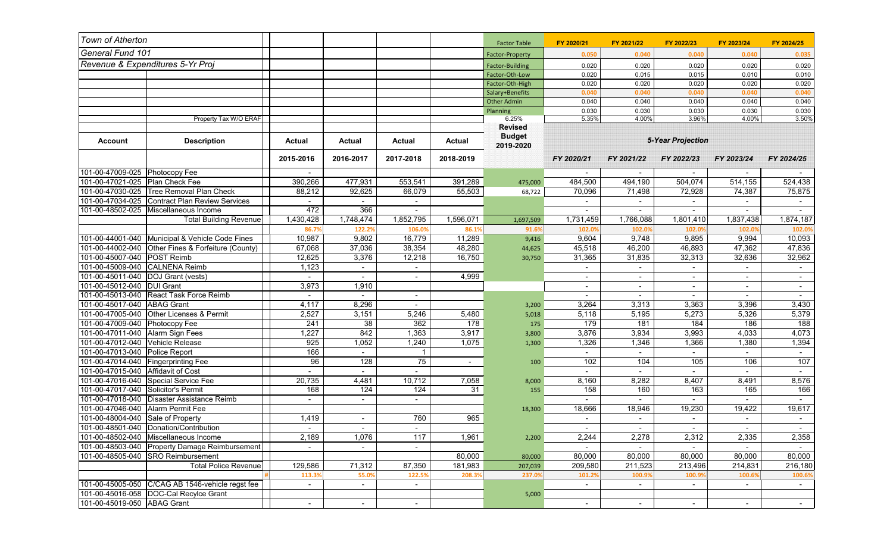| General Fund 101<br>0.050<br>0.040<br>0.040<br>0.040<br><b>Factor-Property</b><br>Revenue & Expenditures 5-Yr Proj<br>0.020<br>0.020<br>0.020<br>0.020<br><b>Factor-Building</b><br>0.020<br>0.015<br>0.015<br>0.010<br>Factor-Oth-Low<br>Factor-Oth-High<br>0.020<br>0.020<br>0.020<br>0.020<br>0.040<br>Salary+Benefits<br>0.040<br>0.040<br>0.040<br>0.040<br>0.040<br>0.040<br>0.040<br><b>Other Admin</b><br>0.030<br>0.030<br>0.030<br>0.030<br>Planning<br>Property Tax W/O ERAF<br>3.96%<br>4.00%<br>6.25%<br>5.35%<br>4.00%<br><b>Revised</b><br><b>Budget</b><br><b>5-Year Projection</b><br><b>Description</b><br><b>Actual</b><br><b>Actual</b><br><b>Account</b><br>Actual<br><b>Actual</b><br>2019-2020<br>2015-2016<br>2016-2017<br>2017-2018<br>2018-2019<br>FY 2020/21<br>FY 2021/22<br>FY 2022/23<br>FY 2023/24<br>101-00-47009-025 Photocopy Fee<br>$\overline{\phantom{a}}$<br>$\overline{\phantom{a}}$ | FY 2024/25        |
|-----------------------------------------------------------------------------------------------------------------------------------------------------------------------------------------------------------------------------------------------------------------------------------------------------------------------------------------------------------------------------------------------------------------------------------------------------------------------------------------------------------------------------------------------------------------------------------------------------------------------------------------------------------------------------------------------------------------------------------------------------------------------------------------------------------------------------------------------------------------------------------------------------------------------------|-------------------|
|                                                                                                                                                                                                                                                                                                                                                                                                                                                                                                                                                                                                                                                                                                                                                                                                                                                                                                                             | 0.035             |
|                                                                                                                                                                                                                                                                                                                                                                                                                                                                                                                                                                                                                                                                                                                                                                                                                                                                                                                             | 0.020             |
|                                                                                                                                                                                                                                                                                                                                                                                                                                                                                                                                                                                                                                                                                                                                                                                                                                                                                                                             | 0.010             |
|                                                                                                                                                                                                                                                                                                                                                                                                                                                                                                                                                                                                                                                                                                                                                                                                                                                                                                                             | 0.020             |
|                                                                                                                                                                                                                                                                                                                                                                                                                                                                                                                                                                                                                                                                                                                                                                                                                                                                                                                             | 0.040             |
|                                                                                                                                                                                                                                                                                                                                                                                                                                                                                                                                                                                                                                                                                                                                                                                                                                                                                                                             | 0.040             |
|                                                                                                                                                                                                                                                                                                                                                                                                                                                                                                                                                                                                                                                                                                                                                                                                                                                                                                                             | 0.030             |
|                                                                                                                                                                                                                                                                                                                                                                                                                                                                                                                                                                                                                                                                                                                                                                                                                                                                                                                             | 3.50%             |
|                                                                                                                                                                                                                                                                                                                                                                                                                                                                                                                                                                                                                                                                                                                                                                                                                                                                                                                             |                   |
|                                                                                                                                                                                                                                                                                                                                                                                                                                                                                                                                                                                                                                                                                                                                                                                                                                                                                                                             | FY 2024/25        |
|                                                                                                                                                                                                                                                                                                                                                                                                                                                                                                                                                                                                                                                                                                                                                                                                                                                                                                                             |                   |
| 101-00-47021-025   Plan Check Fee<br>390,266<br>477,931<br>553,541<br>391,289<br>484,500<br>494,190<br>504,074<br>514,155<br>475,000                                                                                                                                                                                                                                                                                                                                                                                                                                                                                                                                                                                                                                                                                                                                                                                        | 524,438           |
| 101-00-47030-025 Tree Removal Plan Check<br>88,212<br>92,625<br>66,079<br>55,503<br>70,096<br>71,498<br>72,928<br>74,387<br>68,722                                                                                                                                                                                                                                                                                                                                                                                                                                                                                                                                                                                                                                                                                                                                                                                          | 75,875            |
| 101-00-47034-025 Contract Plan Review Services                                                                                                                                                                                                                                                                                                                                                                                                                                                                                                                                                                                                                                                                                                                                                                                                                                                                              |                   |
| 472<br>101-00-48502-025   Miscellaneous Income<br>366<br>$\blacksquare$<br>$\sim$<br>$\blacksquare$<br>$\overline{\phantom{a}}$<br>$\overline{\phantom{a}}$                                                                                                                                                                                                                                                                                                                                                                                                                                                                                                                                                                                                                                                                                                                                                                 | $\sim$            |
| <b>Total Building Revenue</b><br>1,430,428<br>1,748,474<br>1,852,795<br>1,596,071<br>1,731,459<br>1,766,088<br>1,801,410<br>1,837,438<br>1,697,509                                                                                                                                                                                                                                                                                                                                                                                                                                                                                                                                                                                                                                                                                                                                                                          | 1,874,187         |
| 86.7%<br>122.2%<br>106.0%<br>86.1%<br>102.0%<br>91.6%<br>102.0%<br>102.0%<br>102.0%                                                                                                                                                                                                                                                                                                                                                                                                                                                                                                                                                                                                                                                                                                                                                                                                                                         | 102.09            |
| 101-00-44001-040 Municipal & Vehicle Code Fines<br>10,987<br>11,289<br>9,802<br>16,779<br>9,604<br>9,748<br>9,895<br>9,994<br>9,416                                                                                                                                                                                                                                                                                                                                                                                                                                                                                                                                                                                                                                                                                                                                                                                         | 10,093            |
| 101-00-44002-040 Other Fines & Forfeiture (County)<br>67,068<br>37,036<br>38,354<br>48,280<br>45,518<br>46,200<br>47,362<br>46,893<br>44,625                                                                                                                                                                                                                                                                                                                                                                                                                                                                                                                                                                                                                                                                                                                                                                                | 47,836            |
| 101-00-45007-040 POST Reimb<br>12,625<br>3,376<br>12,218<br>16,750<br>31,365<br>31,835<br>32,313<br>32,636<br>30,750                                                                                                                                                                                                                                                                                                                                                                                                                                                                                                                                                                                                                                                                                                                                                                                                        | 32,962            |
| 101-00-45009-040 CALNENA Reimb<br>1,123<br>$\blacksquare$<br>$\blacksquare$<br>$\blacksquare$<br>$\sim$                                                                                                                                                                                                                                                                                                                                                                                                                                                                                                                                                                                                                                                                                                                                                                                                                     | $\sim$            |
| 101-00-45011-040 DOJ Grant (vests)<br>4,999<br>٠                                                                                                                                                                                                                                                                                                                                                                                                                                                                                                                                                                                                                                                                                                                                                                                                                                                                            |                   |
| 101-00-45012-040 DUI Grant<br>3,973<br>1,910                                                                                                                                                                                                                                                                                                                                                                                                                                                                                                                                                                                                                                                                                                                                                                                                                                                                                |                   |
| 101-00-45013-040 React Task Force Reimb<br>$\sim$<br>$\sim$<br>$\sim$<br>$\overline{a}$<br>$\sim$<br>$\blacksquare$<br>$\overline{a}$                                                                                                                                                                                                                                                                                                                                                                                                                                                                                                                                                                                                                                                                                                                                                                                       | $\sim$            |
| 101-00-45017-040 ABAG Grant<br>4,117<br>8,296<br>3,264<br>3,313<br>3,396<br>3,200<br>3,363<br>$\sim$                                                                                                                                                                                                                                                                                                                                                                                                                                                                                                                                                                                                                                                                                                                                                                                                                        | 3,430             |
| 101-00-47005-040 Other Licenses & Permit<br>2,527<br>5,480<br>5,118<br>5,195<br>5,326<br>3,151<br>5,246<br>5,273<br>5,018                                                                                                                                                                                                                                                                                                                                                                                                                                                                                                                                                                                                                                                                                                                                                                                                   | 5,379             |
| 101-00-47009-040 Photocopy Fee<br>241<br>38<br>362<br>178<br>179<br>181<br>186<br>184<br>175                                                                                                                                                                                                                                                                                                                                                                                                                                                                                                                                                                                                                                                                                                                                                                                                                                | 188               |
| 101-00-47011-040 Alarm Sign Fees<br>1,227<br>842<br>3,917<br>3,934<br>1,363<br>3,876<br>3,993<br>4,033<br>3,800                                                                                                                                                                                                                                                                                                                                                                                                                                                                                                                                                                                                                                                                                                                                                                                                             | 4,073             |
| 101-00-47012-040 Vehicle Release<br>925<br>1,052<br>1,075<br>1,326<br>1,380<br>1,240<br>1,346<br>1,366<br>1,300                                                                                                                                                                                                                                                                                                                                                                                                                                                                                                                                                                                                                                                                                                                                                                                                             | 1,394             |
| 166<br>101-00-47013-040 Police Report<br>$\mathbf{1}$                                                                                                                                                                                                                                                                                                                                                                                                                                                                                                                                                                                                                                                                                                                                                                                                                                                                       |                   |
| 101-00-47014-040 Fingerprinting Fee<br>96<br>128<br>75<br>102<br>104<br>105<br>106<br>100<br>$\overline{\phantom{a}}$                                                                                                                                                                                                                                                                                                                                                                                                                                                                                                                                                                                                                                                                                                                                                                                                       | 107               |
| 101-00-47015-040 Affidavit of Cost                                                                                                                                                                                                                                                                                                                                                                                                                                                                                                                                                                                                                                                                                                                                                                                                                                                                                          |                   |
| 101-00-47016-040 Special Service Fee<br>20,735<br>4,481<br>10,712<br>7,058<br>8,160<br>8,282<br>8,407<br>8,491<br>8,000                                                                                                                                                                                                                                                                                                                                                                                                                                                                                                                                                                                                                                                                                                                                                                                                     | 8,576             |
| 101-00-47017-040 Solicitor's Permit<br>168<br>124<br>124<br>31<br>158<br>160<br>163<br>165<br>155                                                                                                                                                                                                                                                                                                                                                                                                                                                                                                                                                                                                                                                                                                                                                                                                                           | 166               |
| 101-00-47018-040 Disaster Assistance Reimb<br>$\overline{\phantom{a}}$<br>$\sim$<br>$\sim$<br>$\sim$<br>$\blacksquare$<br>$\overline{\phantom{a}}$                                                                                                                                                                                                                                                                                                                                                                                                                                                                                                                                                                                                                                                                                                                                                                          | $\sim$            |
| 101-00-47046-040 Alarm Permit Fee<br>19,230<br>19,422<br>18,666<br>18,946<br>18,300                                                                                                                                                                                                                                                                                                                                                                                                                                                                                                                                                                                                                                                                                                                                                                                                                                         | 19,617            |
| 101-00-48004-040 Sale of Property<br>1,419<br>760<br>965<br>$\blacksquare$                                                                                                                                                                                                                                                                                                                                                                                                                                                                                                                                                                                                                                                                                                                                                                                                                                                  | $\sim$            |
| 101-00-48501-040 Donation/Contribution                                                                                                                                                                                                                                                                                                                                                                                                                                                                                                                                                                                                                                                                                                                                                                                                                                                                                      |                   |
| 101-00-48502-040 Miscellaneous Income<br>117<br>2,189<br>1,076<br>1,961<br>2,244<br>2,278<br>2,312<br>2,335<br>2,200                                                                                                                                                                                                                                                                                                                                                                                                                                                                                                                                                                                                                                                                                                                                                                                                        | 2,358             |
| 101-00-48503-040 Property Damage Reimbursement                                                                                                                                                                                                                                                                                                                                                                                                                                                                                                                                                                                                                                                                                                                                                                                                                                                                              |                   |
| 101-00-48505-040 SRO Reimbursement<br>80,000<br>80,000<br>80,000<br>80,000<br>80,000<br>80,000                                                                                                                                                                                                                                                                                                                                                                                                                                                                                                                                                                                                                                                                                                                                                                                                                              |                   |
| <b>Total Police Revenue</b><br>129,586<br>71,312<br>87,350<br>181,983<br>209,580<br>211,523<br>213,496<br>214,831<br>207,039                                                                                                                                                                                                                                                                                                                                                                                                                                                                                                                                                                                                                                                                                                                                                                                                |                   |
| 113.3%<br>55.0%<br>122.5%<br>208.3%<br>237.0%<br>101.2%<br>100.9%<br>100.9%<br>100.6%                                                                                                                                                                                                                                                                                                                                                                                                                                                                                                                                                                                                                                                                                                                                                                                                                                       | 80,000            |
| 101-00-45005-050 C/CAG AB 1546-vehicle regst fee<br>$\sim$<br>$\sim$<br>$\sim$<br>$\blacksquare$<br>$\sim$<br>$\overline{\phantom{a}}$                                                                                                                                                                                                                                                                                                                                                                                                                                                                                                                                                                                                                                                                                                                                                                                      | 216,180<br>100.69 |
| 101-00-45016-058 DOC-Cal Recylce Grant<br>5,000                                                                                                                                                                                                                                                                                                                                                                                                                                                                                                                                                                                                                                                                                                                                                                                                                                                                             | $\sim$            |
| 101-00-45019-050 ABAG Grant<br>$\sim$<br>$\blacksquare$<br>$\blacksquare$<br>$\sim$<br>$\blacksquare$<br>$\overline{\phantom{a}}$                                                                                                                                                                                                                                                                                                                                                                                                                                                                                                                                                                                                                                                                                                                                                                                           |                   |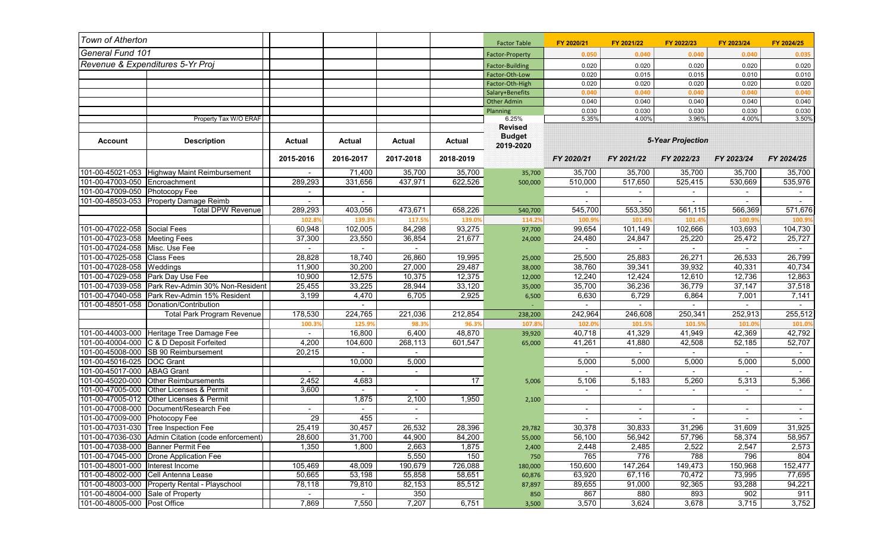| Town of Atherton                   |                                                    |                          |               |                          |               | <b>Factor Table</b>             | FY 2020/21               | FY 2021/22 | FY 2022/23 | FY 2023/24 | FY 2024/25 |
|------------------------------------|----------------------------------------------------|--------------------------|---------------|--------------------------|---------------|---------------------------------|--------------------------|------------|------------|------------|------------|
| General Fund 101                   |                                                    |                          |               |                          |               | Factor-Property                 | 0.050                    | 0.040      | 0.040      | 0.040      | 0.035      |
| Revenue & Expenditures 5-Yr Proj   |                                                    |                          |               |                          |               | <b>Factor-Building</b>          | 0.020                    | 0.020      | 0.020      | 0.020      | 0.020      |
|                                    |                                                    |                          |               |                          |               | Factor-Oth-Low                  | 0.020                    | 0.015      | 0.015      | 0.010      | 0.010      |
|                                    |                                                    |                          |               |                          |               | Factor-Oth-High                 | 0.020                    | 0.020      | 0.020      | 0.020      | 0.020      |
|                                    |                                                    |                          |               |                          |               | Salary+Benefits                 | 0.040                    | 0.040      | 0.040      | 0.040      | 0.040      |
|                                    |                                                    |                          |               |                          |               | <b>Other Admin</b>              | 0.040                    | 0.040      | 0.040      | 0.040      | 0.040      |
|                                    |                                                    |                          |               |                          |               | Planning                        | 0.030                    | 0.030      | 0.030      | 0.030      | 0.030      |
|                                    | Property Tax W/O ERAF                              |                          |               |                          |               | 6.25%                           | 5.35%                    | 4.00%      | 3.96%      | 4.00%      | 3.50%      |
|                                    |                                                    |                          |               |                          |               | <b>Revised</b><br><b>Budget</b> |                          |            |            |            |            |
| <b>Account</b>                     | <b>Description</b>                                 | Actual                   | <b>Actual</b> | <b>Actual</b>            | <b>Actual</b> | 2019-2020                       | <b>5-Year Projection</b> |            |            |            |            |
|                                    |                                                    | 2015-2016                | 2016-2017     | 2017-2018                | 2018-2019     |                                 | FY 2020/21               | FY 2021/22 | FY 2022/23 | FY 2023/24 | FY 2024/25 |
|                                    | 101-00-45021-053 Highway Maint Reimbursement       |                          | 71,400        | 35,700                   | 35,700        | 35,700                          | 35,700                   | 35,700     | 35,700     | 35,700     | 35,700     |
| 101-00-47003-050                   | Encroachment                                       | 289,293                  | 331,656       | 437,971                  | 622,526       | 500,000                         | 510,000                  | 517,650    | 525,415    | 530,669    | 535,976    |
| 101-00-47009-050 Photocopy Fee     |                                                    | $\overline{\phantom{a}}$ |               |                          |               |                                 |                          |            |            |            |            |
|                                    | 101-00-48503-053 Property Damage Reimb             | $\sim$                   |               |                          |               |                                 |                          |            |            |            |            |
|                                    | <b>Total DPW Revenue</b>                           | 289,293                  | 403,056       | 473,671                  | 658,226       | 540,700                         | 545,700                  | 553,350    | 561,115    | 566,369    | 571,676    |
|                                    |                                                    | 102.8%                   | 139.39        | 117.5%                   | 139.0%        | 114.2%                          | 100.9%                   | 101.4%     | 101.4%     | 100.9%     | 100.99     |
| 101-00-47022-058 Social Fees       |                                                    | 60,948                   | 102,005       | 84,298                   | 93,275        | 97,700                          | 99,654                   | 101,149    | 102,666    | 103,693    | 104,730    |
| 101-00-47023-058 Meeting Fees      |                                                    | 37,300                   | 23,550        | 36,854                   | 21,677        | 24,000                          | 24,480                   | 24,847     | 25,220     | 25,472     | 25,727     |
| 101-00-47024-058 Misc. Use Fee     |                                                    | $\blacksquare$           | $\sim$        | $\sim$                   |               |                                 | $\blacksquare$           | $\sim$     | $\sim$     |            | $\sim$     |
| 101-00-47025-058 Class Fees        |                                                    | 28,828                   | 18,740        | 26,860                   | 19,995        | 25,000                          | 25,500                   | 25,883     | 26,271     | 26,533     | 26,799     |
| 101-00-47028-058 Weddings          |                                                    | 11,900                   | 30,200        | 27,000                   | 29,487        | 38,000                          | 38,760                   | 39,341     | 39,932     | 40,331     | 40,734     |
|                                    | 101-00-47029-058 Park Day Use Fee                  | 10,900                   | 12,575        | 10,375                   | 12,375        | 12,000                          | 12,240                   | 12,424     | 12,610     | 12,736     | 12,863     |
|                                    | 101-00-47039-058 Park Rev-Admin 30% Non-Resident   | 25,455                   | 33,225        | 28,944                   | 33,120        | 35,000                          | 35,700                   | 36,236     | 36,779     | 37,147     | 37,518     |
|                                    | 101-00-47040-058 Park Rev-Admin 15% Resident       | 3,199                    | 4,470         | 6,705                    | 2,925         | 6,500                           | 6,630                    | 6,729      | 6,864      | 7,001      | 7,141      |
|                                    | 101-00-48501-058 Donation/Contribution             |                          |               |                          |               |                                 |                          |            |            |            |            |
|                                    | <b>Total Park Program Revenue</b>                  | 178,530                  | 224,765       | 221,036                  | 212,854       | 238,200                         | 242,964                  | 246,608    | 250,341    | 252,913    | 255,512    |
|                                    |                                                    | 100.3%                   | 125.9%        | 98.3%                    | 96.3%         | 107.8%                          | 102.0%                   | 101.5%     | 101.5%     | 101.0%     | 101.0      |
|                                    | 101-00-44003-000 Heritage Tree Damage Fee          | $\sim$                   | 16,800        | 6,400                    | 48,870        | 39,920                          | 40,718                   | 41,329     | 41,949     | 42,369     | 42,792     |
|                                    | 101-00-40004-000 C & D Deposit Forfeited           | 4,200                    | 104,600       | 268,113                  | 601,547       | 65,000                          | 41,261                   | 41,880     | 42,508     | 52,185     | 52,707     |
|                                    | 101-00-45008-000 SB 90 Reimbursement               | 20,215                   |               |                          |               |                                 |                          |            |            |            |            |
| 101-00-45016-025  DOC Grant        |                                                    |                          | 10,000        | 5,000                    |               |                                 | 5,000                    | 5,000      | 5,000      | 5,000      | 5,000      |
| 101-00-45017-000 ABAG Grant        |                                                    |                          |               | $\overline{\phantom{0}}$ |               |                                 |                          |            |            |            |            |
| 101-00-45020-000                   | Other Reimbursements                               | 2,452                    | 4,683         |                          | 17            | 5,006                           | 5,106                    | 5,183      | 5,260      | 5,313      | 5,366      |
|                                    | 101-00-47005-000 Other Licenses & Permit           | 3,600                    |               |                          |               |                                 | $\blacksquare$           | $\sim$     | $\sim$     |            | $\sim$     |
|                                    | 101-00-47005-012 Other Licenses & Permit           |                          | 1,875         | 2,100                    | 1,950         | 2,100                           |                          |            |            |            |            |
|                                    | 101-00-47008-000 Document/Research Fee             |                          |               |                          |               |                                 |                          | ٠          |            |            | $\sim$     |
| 101-00-47009-000 Photocopy Fee     |                                                    | $\overline{29}$          | 455           | $\overline{\phantom{0}}$ |               |                                 |                          | $\sim$     |            |            | $\sim$     |
|                                    | 101-00-47031-030 Tree Inspection Fee               | 25.419                   | 30.457        | 26,532                   | 28,396        | 29,782                          | 30,378                   | 30,833     | 31,296     | 31,609     | 31,925     |
|                                    | 101-00-47036-030 Admin Citation (code enforcement) | 28,600                   | 31,700        | 44,900                   | 84,200        | 55,000                          | 56,100                   | 56,942     | 57,796     | 58,374     | 58,957     |
|                                    | 101-00-47038-000   Banner Permit Fee               | 1,350                    | 1,800         | 2,663                    | 1,875         | 2,400                           | 2,448                    | 2,485      | 2,522      | 2,547      | 2,573      |
|                                    | 101-00-47045-000 Drone Application Fee             |                          |               | 5,550                    | 150           | 750                             | 765                      | 776        | 788        | 796        | 804        |
| 101-00-48001-000   Interest Income |                                                    | 105,469                  | 48,009        | 190,679                  | 726,088       | 180,000                         | 150,600                  | 147,264    | 149,473    | 150,968    | 152,477    |
|                                    | 101-00-48002-000 Cell Antenna Lease                | 50,665                   | 53,198        | 55,858                   | 58,651        | 60,876                          | 63,920                   | 67,116     | 70,472     | 73,995     | 77,695     |
|                                    | 101-00-48003-000 Property Rental - Playschool      | 78,118                   | 79,810        | 82,153                   | 85,512        | 87,897                          | 89,655                   | 91,000     | 92,365     | 93,288     | 94,221     |
| 101-00-48004-000 Sale of Property  |                                                    | $\sim$                   | $\sim$        | 350                      |               | 850                             | 867                      | 880        | 893        | 902        | 911        |
| 101-00-48005-000 Post Office       |                                                    | 7,869                    | 7,550         | 7,207                    | 6,751         | 3,500                           | 3,570                    | 3,624      | 3,678      | 3,715      | 3,752      |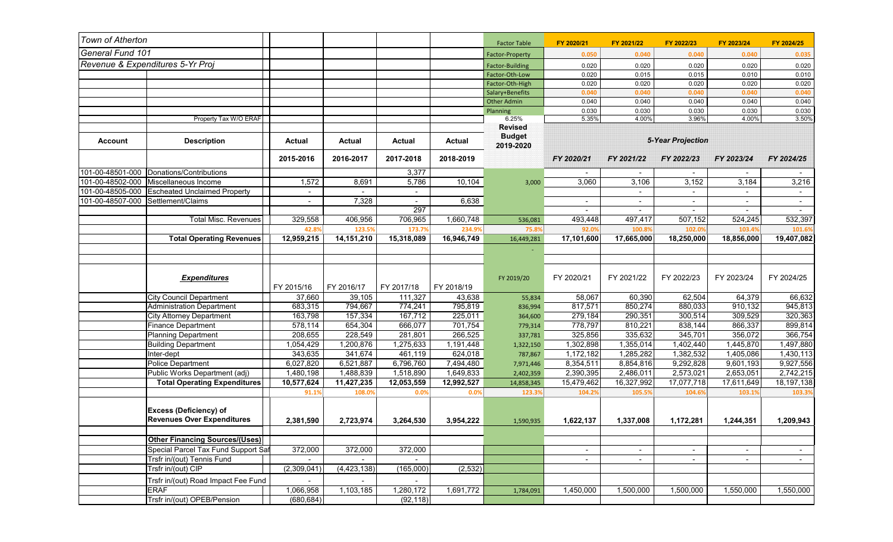| Town of Atherton                   |                                                                    |                          |               |                |               | <b>Factor Table</b>                          | FY 2020/21               | FY 2021/22               | FY 2022/23               | FY 2023/24               | FY 2024/25 |
|------------------------------------|--------------------------------------------------------------------|--------------------------|---------------|----------------|---------------|----------------------------------------------|--------------------------|--------------------------|--------------------------|--------------------------|------------|
| <b>General Fund 101</b>            |                                                                    |                          |               |                |               | <b>Factor-Property</b>                       | 0.050                    | 0.040                    | 0.040                    | 0.040                    | 0.035      |
|                                    | Revenue & Expenditures 5-Yr Proj                                   |                          |               |                |               | <b>Factor-Building</b>                       | 0.020                    | 0.020                    | 0.020                    | 0.020                    | 0.020      |
|                                    |                                                                    |                          |               |                |               | Factor-Oth-Low                               | 0.020                    | 0.015                    | 0.015                    | 0.010                    | 0.010      |
|                                    |                                                                    |                          |               |                |               | Factor-Oth-High                              | 0.020                    | 0.020                    | 0.020                    | 0.020                    | 0.020      |
|                                    |                                                                    |                          |               |                |               | Salary+Benefits                              | 0.040                    | 0.040                    | 0.040                    | 0.040                    | 0.040      |
|                                    |                                                                    |                          |               |                |               | <b>Other Admin</b>                           | 0.040                    | 0.040                    | 0.040                    | 0.040                    | 0.040      |
|                                    |                                                                    |                          |               |                |               | Planning                                     | 0.030                    | 0.030                    | 0.030                    | 0.030                    | 0.030      |
|                                    | Property Tax W/O ERAF                                              |                          |               |                |               | 6.25%                                        | 5.35%                    | 4.00%                    | 3.96%                    | 4.00%                    | 3.50%      |
| <b>Account</b>                     | <b>Description</b>                                                 | Actual                   | <b>Actual</b> | <b>Actual</b>  | <b>Actual</b> | <b>Revised</b><br><b>Budget</b><br>2019-2020 | <b>5-Year Projection</b> |                          |                          |                          |            |
|                                    |                                                                    | 2015-2016                | 2016-2017     | 2017-2018      | 2018-2019     |                                              | FY 2020/21               | FY 2021/22               | FY 2022/23               | FY 2023/24               | FY 2024/25 |
| 101-00-48501-000                   | Donations/Contributions                                            |                          |               | 3,377          |               |                                              | $\blacksquare$           | $\overline{\phantom{a}}$ | $\sim$                   | $\overline{\phantom{a}}$ |            |
| 101-00-48502-000                   | Miscellaneous Income                                               | 1,572                    | 8,691         | 5,786          | 10,104        | 3,000                                        | 3,060                    | 3,106                    | 3,152                    | 3,184                    | 3,216      |
| 101-00-48505-000                   | <b>Escheated Unclaimed Property</b>                                | $\overline{\phantom{a}}$ |               | $\sim$         |               |                                              |                          | $\sim$                   | $\sim$                   |                          | $\sim$     |
| 101-00-48507-000 Settlement/Claims |                                                                    |                          | 7,328         | $\blacksquare$ | 6,638         |                                              |                          |                          |                          |                          | $\sim$     |
|                                    |                                                                    |                          |               | 297            |               |                                              | $\overline{\phantom{a}}$ | $\sim$                   | $\overline{\phantom{a}}$ | $\overline{\phantom{a}}$ | $\sim$     |
|                                    | <b>Total Misc. Revenues</b>                                        | 329,558                  | 406,956       | 706,965        | 1,660,748     | 536,081                                      | 493,448                  | 497,417                  | 507,152                  | 524,245                  | 532,397    |
|                                    |                                                                    | 42.8%                    | 123.5%        | 173.7%         | 234.9%        | 75.8%                                        | 92.0%                    | 100.8%                   | 102.0%                   | 103.4%                   | 101.69     |
|                                    | <b>Total Operating Revenues</b>                                    | 12,959,215               | 14,151,210    | 15,318,089     | 16,946,749    | 16,449,281                                   | 17,101,600               | 17,665,000               | 18,250,000               | 18,856,000               | 19,407,082 |
|                                    |                                                                    |                          |               |                |               |                                              |                          |                          |                          |                          |            |
|                                    | <b>Expenditures</b>                                                | FY 2015/16               | FY 2016/17    | FY 2017/18     | FY 2018/19    | FY 2019/20                                   | FY 2020/21               | FY 2021/22               | FY 2022/23               | FY 2023/24               | FY 2024/25 |
|                                    | <b>City Council Department</b>                                     | 37,660                   | 39,105        | 111,327        | 43,638        | 55,834                                       | 58,067                   | 60,390                   | 62,504                   | 64,379                   | 66,632     |
|                                    | Administration Department                                          | 683,315                  | 794,667       | 774,241        | 795,819       | 836,994                                      | 817,571                  | 850,274                  | 880,033                  | 910,132                  | 945,813    |
|                                    | <b>City Attorney Department</b>                                    | 163,798                  | 157,334       | 167,712        | 225,011       | 364,600                                      | 279,184                  | 290,351                  | 300,514                  | 309,529                  | 320,363    |
|                                    | <b>Finance Department</b>                                          | 578,114                  | 654,304       | 666,077        | 701,754       | 779,314                                      | 778,797                  | 810,221                  | 838,144                  | 866,337                  | 899,814    |
|                                    | Planning Department                                                | 208,655                  | 228,549       | 281,801        | 266,525       | 337,781                                      | 325,856                  | 335,632                  | 345,701                  | 356,072                  | 366,754    |
|                                    | <b>Building Department</b>                                         | 1,054,429                | 1,200,876     | 1,275,633      | 1,191,448     | 1,322,150                                    | 1,302,898                | 1,355,014                | 1,402,440                | 1,445,870                | 1,497,880  |
|                                    | Inter-dept                                                         | 343,635                  | 341,674       | 461,119        | 624,018       | 787,867                                      | 1,172,182                | 1,285,282                | 1,382,532                | 1,405,086                | 1,430,113  |
|                                    | <b>Police Department</b>                                           | 6,027,820                | 6,521,887     | 6,796,760      | 7,494,480     | 7,971,446                                    | 8,354,511                | 8,854,816                | 9,292,828                | 9,601,193                | 9,927,556  |
|                                    | Public Works Department (adj)                                      | 1,480,198                | 1,488,839     | 1,518,890      | 1,649,833     | 2,402,359                                    | 2,390,395                | 2,486,011                | 2,573,021                | 2,653,051                | 2,742,215  |
|                                    | <b>Total Operating Expenditures</b>                                | 10,577,624               | 11,427,235    | 12,053,559     | 12,992,527    | 14,858,345                                   | 15,479,462               | 16,327,992               | 17,077,718               | 17,611,649               | 18,197,138 |
|                                    |                                                                    | 91.1%                    | 108.0%        | 0.0%           | 0.0%          | 123.3%                                       | 104.2%                   | 105.5%                   | 104.6%                   | 103.1%                   | 103.39     |
|                                    | <b>Excess (Deficiency) of</b><br><b>Revenues Over Expenditures</b> | 2,381,590                | 2,723,974     | 3,264,530      | 3,954,222     | 1,590,935                                    | 1,622,137                | 1,337,008                | 1,172,281                | 1,244,351                | 1,209,943  |
|                                    | <b>Other Financing Sources/(Uses)</b>                              |                          |               |                |               |                                              |                          |                          |                          |                          |            |
|                                    | Special Parcel Tax Fund Support Saf                                | 372,000                  | 372,000       | 372,000        |               |                                              | $\blacksquare$           |                          |                          | $\sim$                   |            |
|                                    | Trsfr in/(out) Tennis Fund                                         | $\sim$                   | $\sim$        | $\sim$         |               |                                              | ٠                        | $\sim$                   | $\sim$<br>$\sim$         | $\sim$                   | $\sim$     |
|                                    | Trsfr in/(out) CIP                                                 | (2,309,041)              | (4, 423, 138) | (165,000)      | (2, 532)      |                                              |                          |                          |                          |                          |            |
|                                    |                                                                    |                          |               |                |               |                                              |                          |                          |                          |                          |            |
|                                    | Trsfr in/(out) Road Impact Fee Fund                                | $\blacksquare$           |               | $\sim$         |               |                                              |                          |                          |                          |                          |            |
|                                    | <b>ERAF</b>                                                        | 1,066,958                | 1,103,185     | 1,280,172      | 1,691,772     | 1,784,091                                    | 1,450,000                | 1,500,000                | 1,500,000                | 1,550,000                | 1,550,000  |
|                                    | Trsfr in/(out) OPEB/Pension                                        | (680, 684)               |               | (92, 118)      |               |                                              |                          |                          |                          |                          |            |